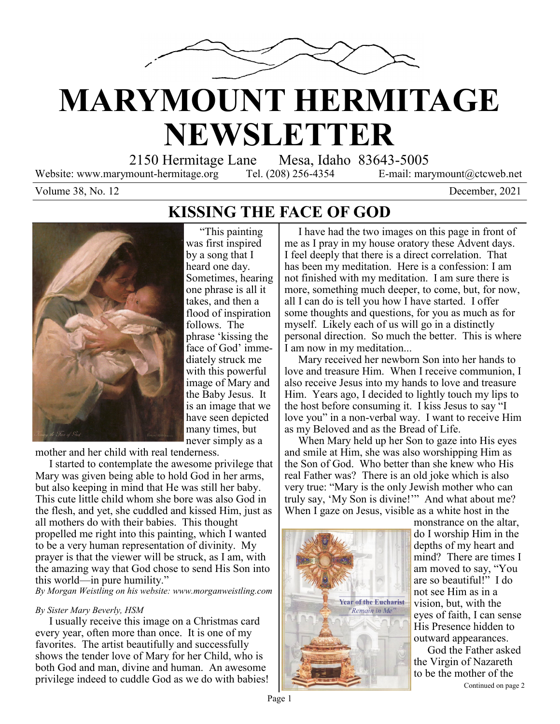

# **MARYMOUNT HERMITAGE NEWSLETTER**

2150 Hermitage Lane Mesa, Idaho 83643-5005

Website: www.marymount-hermitage.org Tel. (208) 256-4354 E-mail: marymount@ctcweb.net

Volume 38, No. 12 December, 2021

### **KISSING THE FACE OF GOD**



 "This painting was first inspired by a song that I heard one day. Sometimes, hearing one phrase is all it takes, and then a flood of inspiration follows. The phrase 'kissing the face of God' immediately struck me with this powerful image of Mary and the Baby Jesus. It is an image that we have seen depicted many times, but never simply as a

mother and her child with real tenderness.

 I started to contemplate the awesome privilege that Mary was given being able to hold God in her arms, but also keeping in mind that He was still her baby. This cute little child whom she bore was also God in the flesh, and yet, she cuddled and kissed Him, just as all mothers do with their babies. This thought propelled me right into this painting, which I wanted to be a very human representation of divinity. My prayer is that the viewer will be struck, as I am, with the amazing way that God chose to send His Son into this world—in pure humility."

*By Morgan Weistling on his website: www.morganweistling.com*

### *By Sister Mary Beverly, HSM*

 I usually receive this image on a Christmas card every year, often more than once. It is one of my favorites. The artist beautifully and successfully shows the tender love of Mary for her Child, who is both God and man, divine and human. An awesome privilege indeed to cuddle God as we do with babies!

 I have had the two images on this page in front of me as I pray in my house oratory these Advent days. I feel deeply that there is a direct correlation. That has been my meditation. Here is a confession: I am not finished with my meditation. I am sure there is more, something much deeper, to come, but, for now, all I can do is tell you how I have started. I offer some thoughts and questions, for you as much as for myself. Likely each of us will go in a distinctly personal direction. So much the better. This is where I am now in my meditation...

 Mary received her newborn Son into her hands to love and treasure Him. When I receive communion, I also receive Jesus into my hands to love and treasure Him. Years ago, I decided to lightly touch my lips to the host before consuming it. I kiss Jesus to say "I love you" in a non-verbal way. I want to receive Him as my Beloved and as the Bread of Life.

 When Mary held up her Son to gaze into His eyes and smile at Him, she was also worshipping Him as the Son of God. Who better than she knew who His real Father was? There is an old joke which is also very true: "Mary is the only Jewish mother who can truly say, 'My Son is divine!'" And what about me? When I gaze on Jesus, visible as a white host in the



monstrance on the altar, do I worship Him in the depths of my heart and mind? There are times I am moved to say, "You are so beautiful!" I do not see Him as in a vision, but, with the eyes of faith, I can sense His Presence hidden to outward appearances.

Continued on page 2 God the Father asked the Virgin of Nazareth to be the mother of the